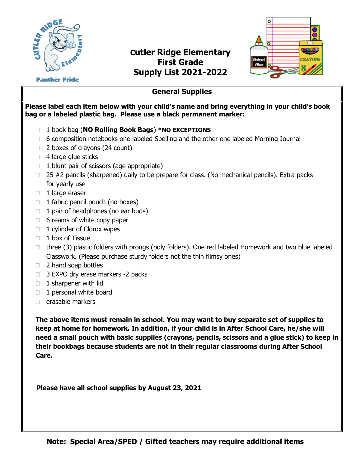

## **Cutler Ridge Elementary First Grade Supply List 2021-2022**



**Panther Pride** 

## **General Supplies**

**Please label each item below with your child's name and bring everything in your child's book bag or a labeled plastic bag. Please use a black permanent marker:**

- 1 book bag (**NO Rolling Book Bags**) **\*NO EXCEPTIONS**
- □ 6 composition notebooks one labeled Spelling and the other one labeled Morning Journal
- $\Box$  2 boxes of crayons (24 count)
- $\Box$  4 large glue sticks
- $\Box$  1 blunt pair of scissors (age appropriate)
- $\Box$  25 #2 pencils (sharpened) daily to be prepare for class. (No mechanical pencils). Extra packs for yearly use
- $\Box$  1 large eraser
- $\Box$  1 fabric pencil pouch (no boxes)
- $\Box$  1 pair of headphones (no ear buds)
- $\Box$  6 reams of white copy paper
- $\Box$  1 cylinder of Clorox wipes
- $\Box$  1 box of Tissue
- $\Box$  three (3) plastic folders with prongs (poly folders). One red labeled Homework and two blue labeled Classwork. (Please purchase sturdy folders not the thin flimsy ones)
- □ 2 hand soap bottles
- □ 3 EXPO dry erase markers -2 packs
- $\Box$  1 sharpener with lid
- $\Box$  1 personal white board
- $\Box$  erasable markers

**The above items must remain in school. You may want to buy separate set of supplies to keep at home for homework. In addition, if your child is in After School Care, he/she will need a small pouch with basic supplies (crayons, pencils, scissors and a glue stick) to keep in their bookbags because students are not in their regular classrooms during After School Care.**

 **Please have all school supplies by August 23, 2021**